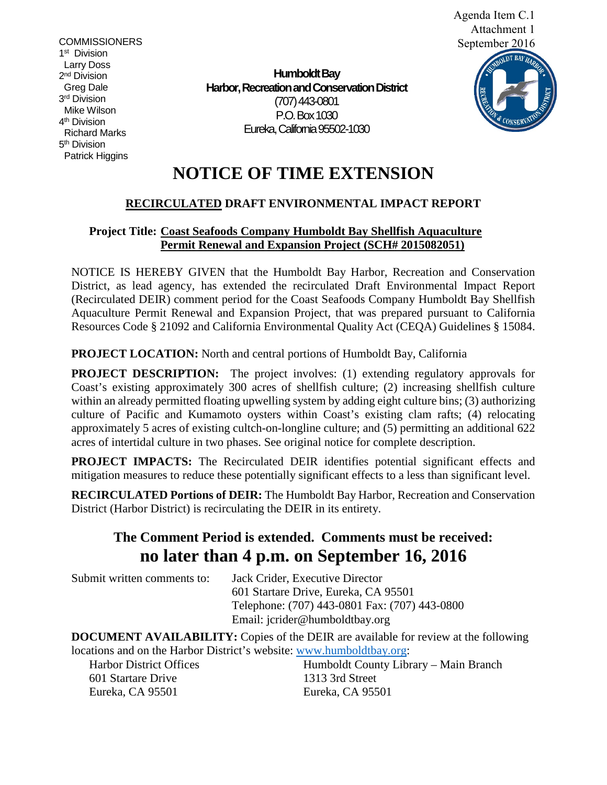**COMMISSIONERS** 1<sup>st</sup> Division Larry Doss 2<sup>nd</sup> Division Greg Dale 3rd Division Mike Wilson 4th Division Richard Marks 5<sup>th</sup> Division Patrick Higgins

**Humboldt Bay Harbor, Recreation and Conservation District** (707) 443-0801 P.O. Box 1030 Eureka, California 95502-1030



# **NOTICE OF TIME EXTENSION**

## **RECIRCULATED DRAFT ENVIRONMENTAL IMPACT REPORT**

### **Project Title: Coast Seafoods Company Humboldt Bay Shellfish Aquaculture Permit Renewal and Expansion Project (SCH# 2015082051)**

NOTICE IS HEREBY GIVEN that the Humboldt Bay Harbor, Recreation and Conservation District, as lead agency, has extended the recirculated Draft Environmental Impact Report (Recirculated DEIR) comment period for the Coast Seafoods Company Humboldt Bay Shellfish Aquaculture Permit Renewal and Expansion Project, that was prepared pursuant to California Resources Code § 21092 and California Environmental Quality Act (CEQA) Guidelines § 15084.

**PROJECT LOCATION:** North and central portions of Humboldt Bay, California

**PROJECT DESCRIPTION:** The project involves: (1) extending regulatory approvals for Coast's existing approximately 300 acres of shellfish culture; (2) increasing shellfish culture within an already permitted floating upwelling system by adding eight culture bins; (3) authorizing culture of Pacific and Kumamoto oysters within Coast's existing clam rafts; (4) relocating approximately 5 acres of existing cultch-on-longline culture; and  $(5)$  permitting an additional 622 acres of intertidal culture in two phases. See original notice for complete description.

**PROJECT IMPACTS:** The Recirculated DEIR identifies potential significant effects and mitigation measures to reduce these potentially significant effects to a less than significant level.

**RECIRCULATED Portions of DEIR:** The Humboldt Bay Harbor, Recreation and Conservation District (Harbor District) is recirculating the DEIR in its entirety.

## **The Comment Period is extended. Comments must be received: no later than 4 p.m. on September 16, 2016**

Submit written comments to: Jack Crider, Executive Director 601 Startare Drive, Eureka, CA 95501 Telephone: (707) 443-0801 Fax: (707) 443-0800 Email: jcrider@humboldtbay.org

**DOCUMENT AVAILABILITY:** Copies of the DEIR are available for review at the following locations and on the Harbor District's website: [www.humboldtbay.org:](http://www.humboldtbay.org/)

601 Startare Drive 1313 3rd Street Eureka, CA 95501 Eureka, CA 95501

Harbor District Offices Humboldt County Library – Main Branch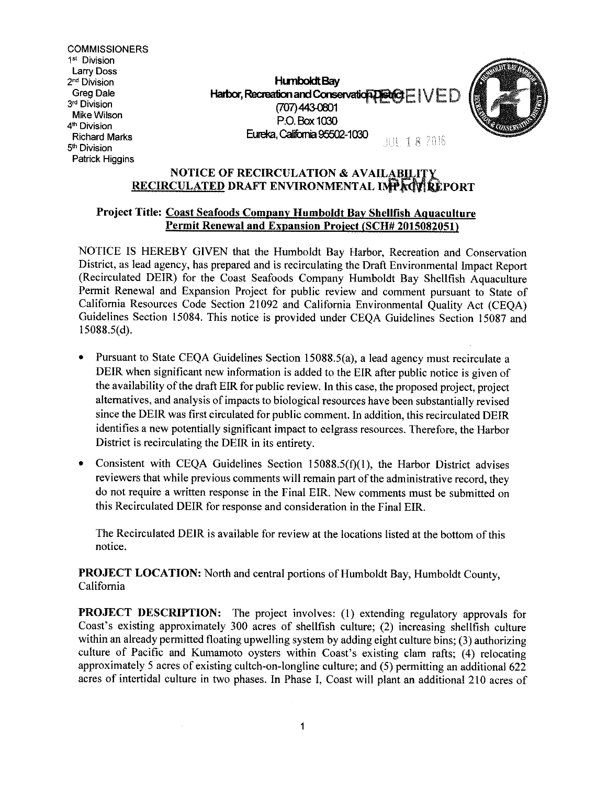**COMMISSIONERS** 1st Division **Larry Doss** 2<sup>nd</sup> Division Greg Dale 3rd Division Mike Wilson 4<sup>th</sup> Division **Richard Marks** 5<sup>th</sup> Division Patrick Higgins

**Humboldt Bay** Harbor, Recreation and Conservation  $\mathbf{D}\mathbf{Set} \mathbf{G} \mathbf{F} \mid \setminus \setminus \mathbf{F} \mathbf{D}$ (707) 443-0801 P.O. Box 1030 Eureka, California 95502-1030 JUL 18 2016



### NOTICE OF RECIRCULATION & AVAILABILITY RECIRCULATED DRAFT ENVIRONMENTAL IMPACVIREPORT

### Project Title: Coast Seafoods Company Humboldt Bay Shellfish Aquaculture Permit Renewal and Expansion Project (SCH# 2015082051)

NOTICE IS HEREBY GIVEN that the Humboldt Bay Harbor, Recreation and Conservation District, as lead agency, has prepared and is recirculating the Draft Environmental Impact Report (Recirculated DEIR) for the Coast Seafoods Company Humboldt Bay Shellfish Aquaculture Permit Renewal and Expansion Project for public review and comment pursuant to State of California Resources Code Section 21092 and California Environmental Quality Act (CEQA) Guidelines Section 15084. This notice is provided under CEQA Guidelines Section 15087 and  $15088.5(d)$ .

- $\bullet$ Pursuant to State CEQA Guidelines Section 15088.5(a), a lead agency must recirculate a DEIR when significant new information is added to the EIR after public notice is given of the availability of the draft EIR for public review. In this case, the proposed project, project alternatives, and analysis of impacts to biological resources have been substantially revised since the DEIR was first circulated for public comment. In addition, this recirculated DEIR identifies a new potentially significant impact to eelgrass resources. Therefore, the Harbor District is recirculating the DEIR in its entirety.
- Consistent with CEQA Guidelines Section 15088.5(f)(1), the Harbor District advises  $\bullet$ reviewers that while previous comments will remain part of the administrative record, they do not require a written response in the Final EIR. New comments must be submitted on this Recirculated DEIR for response and consideration in the Final EIR.

The Recirculated DEIR is available for review at the locations listed at the bottom of this notice.

**PROJECT LOCATION:** North and central portions of Humboldt Bay, Humboldt County, California

**PROJECT DESCRIPTION:** The project involves: (1) extending regulatory approvals for Coast's existing approximately 300 acres of shellfish culture; (2) increasing shellfish culture within an already permitted floating upwelling system by adding eight culture bins; (3) authorizing culture of Pacific and Kumamoto oysters within Coast's existing clam rafts; (4) relocating approximately 5 acres of existing culter-on-longline culture; and (5) permitting an additional 622 acres of intertidal culture in two phases. In Phase I, Coast will plant an additional 210 acres of